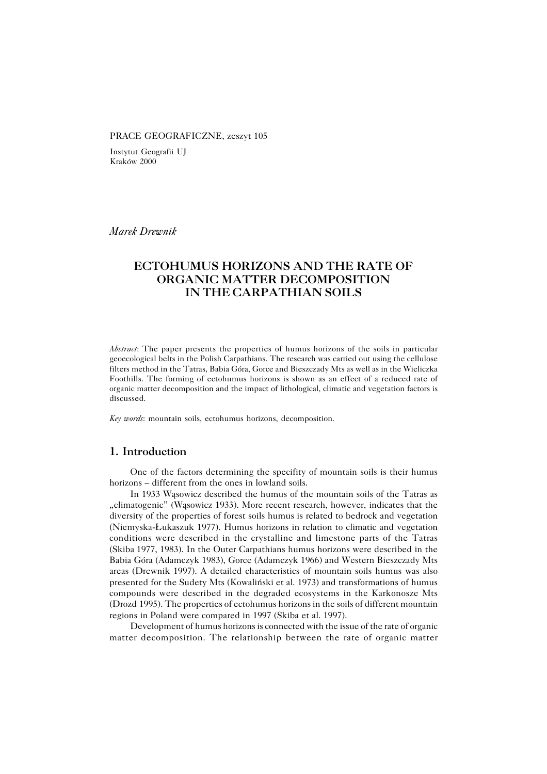#### PRACE GEOGRAFICZNE, zeszyt 105

Instytut Geografii UJ Kraków 2000

*Marek Drewnik*

# **ECTOHUMUS HORIZONS AND THE RATE OF ORGANIC MATTER DECOMPOSITION IN THE CARPATHIAN SOILS**

*Abstract*: The paper presents the properties of humus horizons of the soils in particular geoecological belts in the Polish Carpathians. The research was carried out using the cellulose filters method in the Tatras, Babia Góra, Gorce and Bieszczady Mts as well as in the Wieliczka Foothills. The forming of ectohumus horizons is shown as an effect of a reduced rate of organic matter decomposition and the impact of lithological, climatic and vegetation factors is discussed.

*Key words*: mountain soils, ectohumus horizons, decomposition.

## **1. Introduction**

One of the factors determining the specifity of mountain soils is their humus horizons – different from the ones in lowland soils.

In 1933 Wąsowicz described the humus of the mountain soils of the Tatras as "climatogenic" (Wąsowicz 1933). More recent research, however, indicates that the diversity of the properties of forest soils humus is related to bedrock and vegetation (Niemyska−Łukaszuk 1977). Humus horizons in relation to climatic and vegetation conditions were described in the crystalline and limestone parts of the Tatras (Skiba1977, 1983). In the Outer Carpathians humus horizons were described in the Babia Góra (Adamczyk 1983), Gorce (Adamczyk 1966) and Western Bieszczady Mts areas (Drewnik 1997). A detailed characteristics of mountain soils humus was also presented for the Sudety Mts (Kowaliński et al. 1973) and transformations of humus compounds were described in the degraded ecosystems in the Karkonosze Mts (Drozd1995). The properties of ectohumus horizons in the soils of different mountain regions in Poland were compared in 1997 (Skiba et al. 1997).

Development of humus horizons is connected with the issue of the rate of organic matter decomposition. The relationship between the rate of organic matter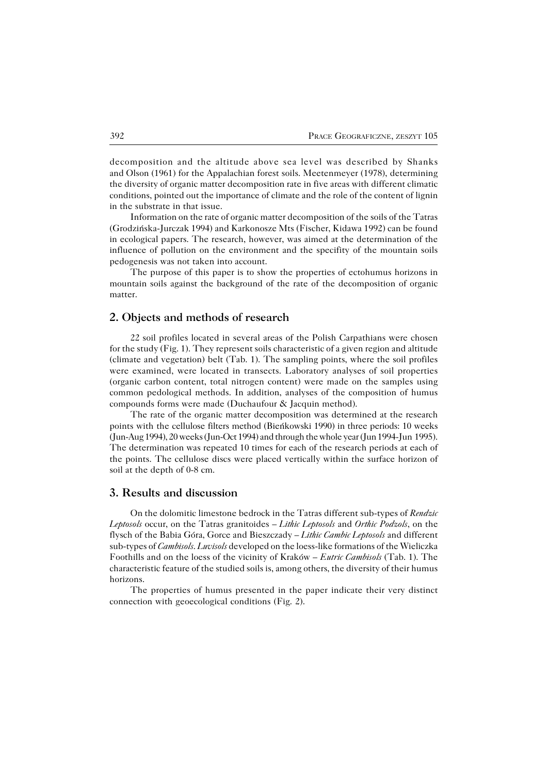decomposition and the altitude above sea level was described by Shanks and Olson (1961) for the Appalachian forest soils. Meetenmeyer (1978), determining the diversity of organic matter decomposition rate in five areas with different climatic conditions, pointed out the importance of climate and the role of the content of lignin in the substrate in that issue.

Information on the rate of organic matter decomposition of the soils of the Tatras (Grodzińska−Jurczak 1994) and Karkonosze Mts (Fischer, Kidawa 1992) can be found in ecological papers. The research, however, was aimed at the determination of the influence of pollution on the environment and the specifity of the mountain soils pedogenesis was not taken into account.

The purpose of this paper is to show the properties of ectohumus horizons in mountain soils against the background of the rate of the decomposition of organic matter.

## **2. Objects and methods of research**

22 soil profiles located in several areas of the Polish Carpathians were chosen for the study (Fig. 1). They represent soils characteristic of a given region and altitude (climate and vegetation) belt (Tab. 1). The sampling points, where the soil profiles were examined, were located in transects. Laboratory analyses of soil properties (organic carbon content, total nitrogen content) were made on the samples using common pedological methods. In addition, analyses of the composition of humus compounds forms were made (Duchaufour & Jacquin method).

The rate of the organic matter decomposition was determined at the research points with the cellulose filters method (Bieńkowski 1990) in three periods: 10 weeks (Jun−Aug 1994), 20 weeks (Jun−Oct 1994) and through the whole year (Jun 1994−Jun1995). The determination was repeated 10 times for each of the research periods at each of the points. The cellulose discs were placed vertically within the surface horizon of soil at the depth of 0−8 cm.

#### **3. Results and discussion**

On the dolomitic limestone bedrock in the Tatras different sub−types of *Rendzic Leptosols* occur, on the Tatras granitoides – *Lithic Leptosols* and *Orthic Podzols*, on the flysch of the Babia Góra, Gorce and Bieszczady – *Lithic Cambic Leptosols* and different sub−types of *Cambisols*. *Luvisols* developed on the loess−like formations of the Wieliczka Foothills and on the loess of the vicinity of Kraków – *Eutric Cambisols* (Tab. 1). The characteristic feature of the studied soils is, among others, the diversity of their humus horizons.

The properties of humus presented in the paper indicate their very distinct connection with geoecological conditions (Fig. 2).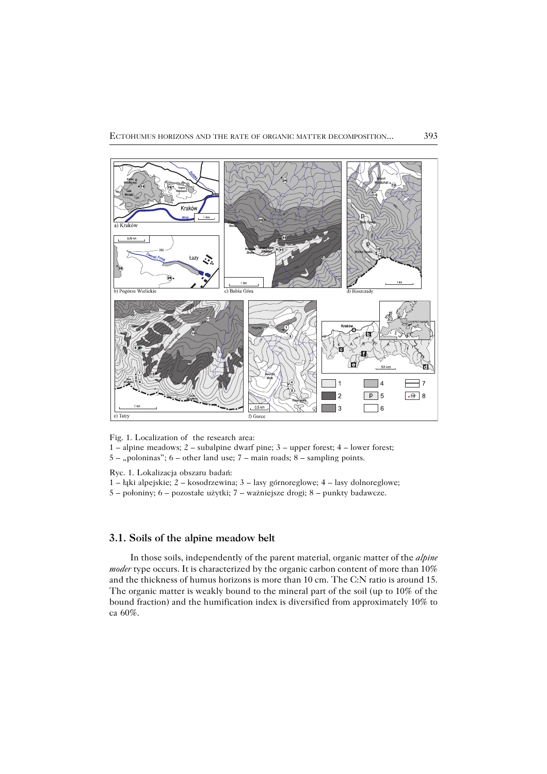

Fig. 1. Localization of the research area:

1 – alpine meadows; 2 – subalpine dwarf pine; 3 – upper forest; 4 – lower forest;  $5 -$  "poloninas";  $6 -$  other land use;  $7 -$  main roads;  $8 -$  sampling points.

Ryc. 1. Lokalizacja obszaru badań:

- 1 łąki alpejskie; 2 kosodrzewina; 3 lasy górnoreglowe; 4 lasy dolnoreglowe;
- 5 połoniny; 6 pozostałe użytki; 7 ważniejsze drogi; 8 punkty badawcze.

## **3.1. Soils of the alpine meadow belt**

In those soils, independently of the parent material, organic matter of the *alpine moder* type occurs. It is characterized by the organic carbon content of more than 10% and the thickness of humus horizons is more than 10 cm. The C:N ratio is around 15. The organic matter is weakly bound to the mineral part of the soil (up to 10% of the bound fraction) and the humification index is diversified from approximately 10% to ca 60%.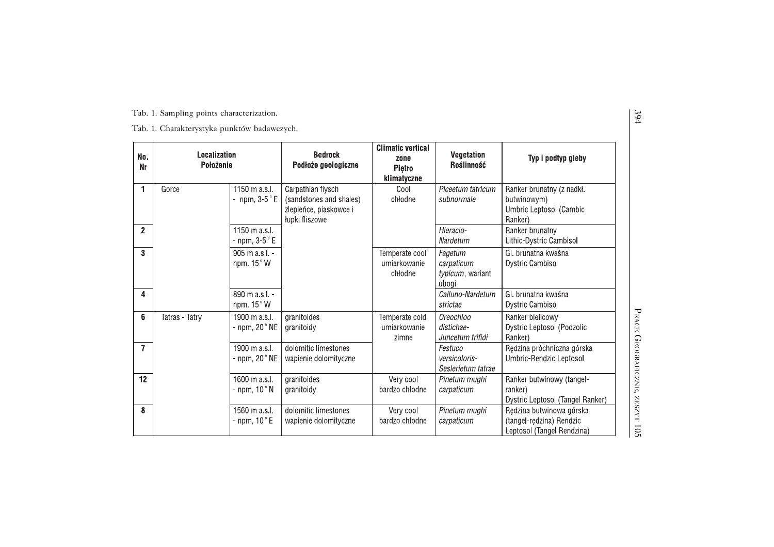| No.<br>Nr      | <b>Localization</b><br>Położenie |                                           | <b>Bedrock</b><br>Podłoże geologiczne                                                    | <b>Climatic vertical</b><br>zone<br>Pietro<br>klimatyczne | Vegetation<br>Roślinność                           | Typ i podtyp gleby                                                                 |
|----------------|----------------------------------|-------------------------------------------|------------------------------------------------------------------------------------------|-----------------------------------------------------------|----------------------------------------------------|------------------------------------------------------------------------------------|
| 1              | Gorce                            | 1150 m a.s.l.<br>- npm, $3-5$ $\degree$ E | Carpathian flysch<br>(sandstones and shales)<br>zlepieńce, piaskowce i<br>łupki fliszowe | Cool<br>chłodne                                           | Piceetum tatricum<br>subnormale                    | Ranker brunatny (z nadkł.<br>butwinowym)<br>Umbric Leptosol (Cambic<br>Ranker)     |
| $\overline{2}$ |                                  | 1150 m a.s.l.<br>- npm, $3-5$ °E          |                                                                                          |                                                           | Hieracio-<br>Nardetum                              | Ranker brunatny<br>Lithic-Dystric Cambisol                                         |
| 3              |                                  | 905 m a.s.l. -<br>npm, 15°W               |                                                                                          | Temperate cool<br>umiarkowanie<br>chłodne                 | Fagetum<br>carpaticum<br>typicum, wariant<br>ubogi | GI, brunatna kwaśna<br><b>Dystric Cambisol</b>                                     |
| 4              |                                  | 890 m a.s.l. -<br>npm, $15^{\circ}$ W     |                                                                                          |                                                           | Calluno-Nardetum<br>strictae                       | GI, brunatna kwaśna<br><b>Dystric Cambisol</b>                                     |
| 6              | Tatras - Tatry                   | 1900 m a.s.l.<br>- npm, $20^\circ$ NE     | granitoides<br>granitoidy                                                                | Temperate cold<br>umiarkowanie<br>zimne                   | Oreochloo<br>distichae-<br>Juncetum trifidi        | Ranker bielicowy<br>Dystric Leptosol (Podzolic<br>Ranker)                          |
| $\overline{ }$ |                                  | 1900 m a.s.l.<br>- npm, $20°$ NE          | dolomitic limestones<br>wapienie dolomityczne                                            |                                                           | Festuco<br>versicoloris-<br>Seslerietum tatrae     | Rędzina próchniczna górska<br>Umbric-Rendzic Leptosol                              |
| 12             |                                  | 1600 m a.s.l.<br>- npm, $10^{\circ}$ N    | granitoides<br>granitoidy                                                                | Very cool<br>bardzo chłodne                               | Pinetum mughi<br>carpaticum                        | Ranker butwinowy (tangel-<br>ranker)<br>Dystric Leptosol (Tangel Ranker)           |
| 8              |                                  | 1560 m a.s.l.<br>- npm, $10^{\circ}$ E    | dolomitic limestones<br>wapienie dolomityczne                                            | Very cool<br>bardzo chłodne                               | Pinetum mughi<br>carpaticum                        | Rędzina butwinowa górska<br>(tangel-redzina) Rendzic<br>Leptosol (Tangel Rendzina) |

 $\overline{\phantom{a}}$ RACE GEOGRAFICZNE,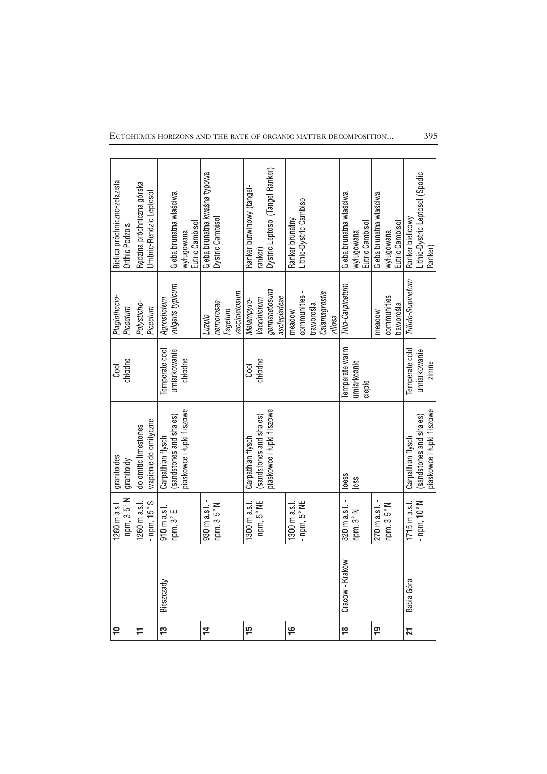| $\overline{\phantom{0}}$ |                 | - npm, $3-5$ °N<br>1260 m a s.l. | granitoides<br>granitoidy  | chłodne<br>Cool | Plagiothecio-<br>Piceetum | Bielica próchniczno-żelazista<br>Orthic Podzols |
|--------------------------|-----------------|----------------------------------|----------------------------|-----------------|---------------------------|-------------------------------------------------|
| H                        |                 | 1260 m a s l                     | dolomitic limestones       |                 | Polysticho-               | Rędzina próchniczna górska                      |
|                          |                 | - npm, $15^{\circ}$ S            | wapienie dolomityczne      |                 | Piceetum                  | Umbric-Rendzic Leptosol                         |
| $\frac{1}{2}$            | Bieszczady      | 910 m a.s.l.                     | Carpathian flysch          | Temperate cool  | Agrostietum               |                                                 |
|                          |                 | npm, 3°E                         | (sandstones and shales)    | umiarkowanie    | vulgaris typicum          | Gleba brunatna właściwa                         |
|                          |                 |                                  | piaskowce i łupki fliszowe | chłodne         |                           | Eutric Cambisol<br>wyługowana                   |
| $\sharp$                 |                 | 930 m a.s.l.                     |                            |                 | <b>Luzulo</b>             | Gleba brunatna kwaśna typowa                    |
|                          |                 | npm, 3-5°N                       |                            |                 | nemorosae-                | Dystric Cambisol                                |
|                          |                 |                                  |                            |                 | Fagetum                   |                                                 |
|                          |                 |                                  |                            |                 | vaccinietosum             |                                                 |
| 15                       |                 | 1300 m a.s.l.                    | Carpathian flysch          | Cool            | Melampyro-                | Ranker butwinowy (tangel-                       |
|                          |                 | - npm, $5^{\circ}$ NE            | (sandstones and shales)    | chłodne         | Vaccinietum               | ranker)                                         |
|                          |                 |                                  | piaskowce i łupki fliszowe |                 | gentianetosum             | Dystric Leptosol (Tangel Ranker)                |
|                          |                 |                                  |                            |                 | asclepiadeae              |                                                 |
| $\frac{1}{2}$            |                 | 1300 m a.s.l.                    |                            |                 | meadow                    | Ranker brunatny                                 |
|                          |                 | - $npm$ , $5^{\circ}$ NE         |                            |                 | communities -             | Lithic-Dystric Cambisol                         |
|                          |                 |                                  |                            |                 | traworośla                |                                                 |
|                          |                 |                                  |                            |                 | Calamagrostis             |                                                 |
|                          |                 |                                  |                            |                 | villosa                   |                                                 |
| $\frac{8}{1}$            | Cracow - Kraków | 320 m a.s.l.                     | loess                      | emperate warm   | Tilio-Carpinetum          | Gleba brunatna właściwa                         |
|                          |                 | npm, 3°N                         | ess                        | umiarkoanie     |                           | wyługowana                                      |
|                          |                 |                                  |                            | ciepte          |                           | Eutric Cambisol                                 |
| $\overline{1}$           |                 | 270 m a.s.l.                     |                            |                 | meadow                    | Gleba brunatna właściwa                         |
|                          |                 | npm, 3-5°N                       |                            |                 | communities               | wyługowana                                      |
|                          |                 |                                  |                            |                 | traworośla                | Eutric Cambisol                                 |
| 21                       | Babia Góra      | $1715 \text{ m a s}$             | Carpathian flysch          | Temperate cold  | Trifido-Supinetum         | Ranker bielicowy                                |
|                          |                 | - npm, $10^{\circ}$ N            | (sandstones and shales)    | umiarkowanie    |                           | Lithic-Dystric Leptosol (Spodic                 |
|                          |                 |                                  | piaskowce i łupki fliszowe | zimne           |                           | Ranker)                                         |

ECTOHUMUS HORIZONS AND THE RATE OF ORGANIC MATTER DECOMPOSITION...

395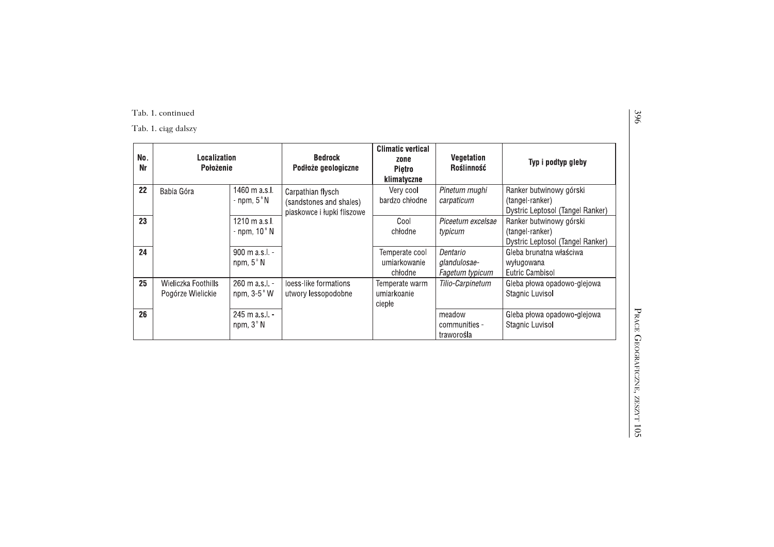# Tab. 1. continued

Tab. 1. ciąg dalszy

| No.<br>Nr | Localization<br>Położenie                |                                                  | <b>Bedrock</b><br>Podłoże geologiczne                                      | <b>Climatic vertical</b><br>zone<br>Pietro<br>klimatyczne | <b>Vegetation</b><br>Roślinność             | Typ i podtyp gleby                                                             |
|-----------|------------------------------------------|--------------------------------------------------|----------------------------------------------------------------------------|-----------------------------------------------------------|---------------------------------------------|--------------------------------------------------------------------------------|
| 22        | Babia Góra                               | 1460 m a.s.l.<br>- npm, $5^\circ$ N              | Carpathian flysch<br>(sandstones and shales)<br>piaskowce i łupki fliszowe | Very cool<br>bardzo chłodne                               | Pinetum mughi<br>carpaticum                 | Ranker butwinowy górski<br>(tangel-ranker)<br>Dystric Leptosol (Tangel Ranker) |
| 23        |                                          | $1210 \text{ m a s.l.}$<br>- npm, $10^{\circ}$ N |                                                                            | Cool<br>chłodne                                           | Piceetum excelsae<br>typicum                | Ranker butwinowy górski<br>(tangel-ranker)<br>Dystric Leptosol (Tangel Ranker) |
| 24        |                                          | $900 \text{ m a.s.}$ .<br>npm, $5^\circ$ N       |                                                                            | Temperate cool<br>umiarkowanie<br>chłodne                 | Dentario<br>glandulosae-<br>Fagetum typicum | Gleba brunatna właściwa<br>wyługowana<br>Eutric Cambisol                       |
| 25        | Wieliczka Foothills<br>Pogórze Wielickie | $260 \text{ m a s.l.}$ -<br>npm, $3-5^\circ$ W   | loess-like formations<br>utwory lessopodobne                               | Temperate warm<br>umiarkoanie<br>ciepłe                   | Tilio-Carpinetum                            | Gleba płowa opadowo-glejowa<br>Stagnic Luvisol                                 |
| 26        |                                          | $245$ m a s $\lfloor$ . -<br>npm, 3°N            |                                                                            |                                                           | meadow<br>communities -<br>traworośla       | Gleba płowa opadowo-glejowa<br>Stagnic Luvisol                                 |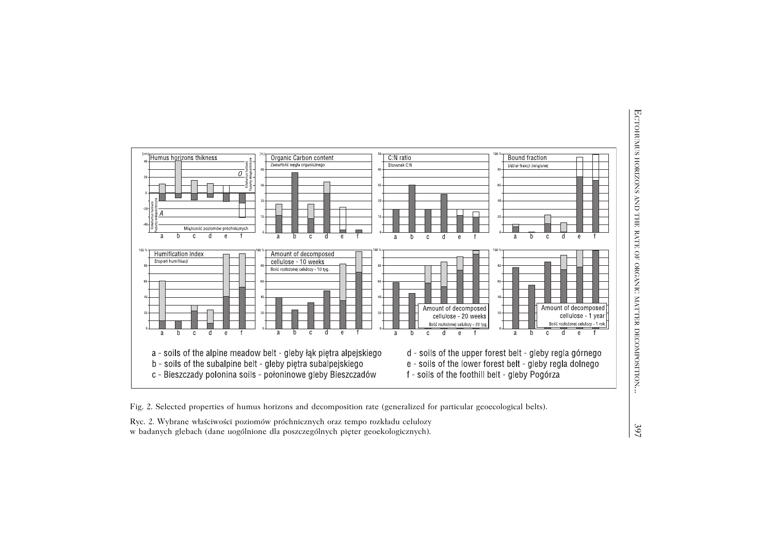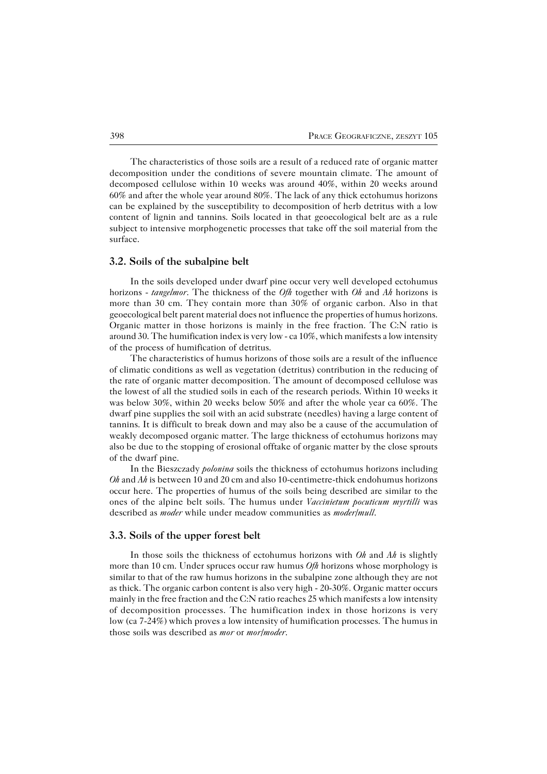The characteristics of those soils are a result of a reduced rate of organic matter decomposition under the conditions of severe mountain climate. The amount of decomposed cellulose within 10 weeks was around 40%, within 20 weeks around 60% and after the whole year around 80%. The lack of any thick ectohumus horizons can be explained by the susceptibility to decomposition of herb detritus with a low content of lignin and tannins. Soils located in that geoecological belt are as a rule subject to intensive morphogenetic processes that take off the soil material from the surface.

#### **3.2. Soils of the subalpine belt**

In the soils developed under dwarf pine occur very well developed ectohumus horizons − *tangelmor*. The thickness of the *Ofh* together with *Oh* and *Ah* horizons is more than 30 cm. They contain more than 30% of organic carbon. Also in that geoecological belt parent material does not influence the properties of humus horizons. Organic matter in those horizons is mainly in the free fraction. The C:N ratio is around 30. The humification index is very low − ca 10%, which manifests a low intensity of the process of humification of detritus.

The characteristics of humus horizons of those soils are a result of the influence of climatic conditions as well as vegetation (detritus) contribution in the reducing of the rate of organic matter decomposition. The amount of decomposed cellulose was the lowest of all the studied soils in each of the research periods. Within 10 weeks it was below 30%, within 20 weeks below 50% and after the whole year ca 60%. The dwarf pine supplies the soil with an acid substrate (needles) having a large content of tannins. It is difficult to break down and may also be a cause of the accumulation of weakly decomposed organic matter. The large thickness of ectohumus horizons may also be due to the stopping of erosional offtake of organic matter by the close sprouts of the dwarf pine.

In the Bieszczady *polonina* soils the thickness of ectohumus horizons including *Oh* and *Ah* is between 10 and 20 cm and also 10-centimetre-thick endohumus horizons occur here. The properties of humus of the soils being described are similar to the ones of the alpine belt soils. The humus under *Vaccinietum pocuticum myrtilli* was described as *moder* while under meadow communities as *moder/mull*.

#### **3.3. Soils of the upper forest belt**

In those soils the thickness of ectohumus horizons with *Oh* and *Ah* is slightly more than 10 cm. Under spruces occur raw humus *Ofh* horizons whose morphology is similar to that of the raw humus horizons in the subalpine zone although they are not as thick. The organic carbon content is also very high − 20−30%. Organic matter occurs mainly in the free fraction and the C:N ratio reaches 25 which manifests a low intensity of decomposition processes. The humification index in those horizons is very low (ca7−24%) which proves a low intensity of humification processes. The humus in those soils was described as *mor* or *mor/moder*.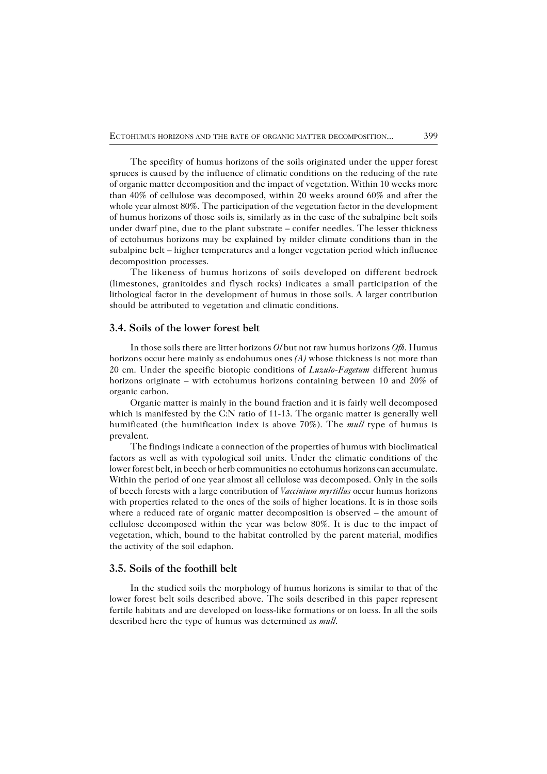The specifity of humus horizons of the soils originated under the upper forest spruces is caused by the influence of climatic conditions on the reducing of the rate of organic matter decomposition and the impact of vegetation. Within 10 weeks more than 40% of cellulose was decomposed, within 20 weeks around 60% and after the whole year almost 80%. The participation of the vegetation factor in the development of humus horizons of those soils is, similarly as in the case of the subalpine belt soils under dwarf pine, due to the plant substrate – conifer needles. The lesser thickness of ectohumus horizons may be explained by milder climate conditions than in the subalpine belt – higher temperatures and a longer vegetation period which influence decomposition processes.

The likeness of humus horizons of soils developed on different bedrock (limestones, granitoides and flysch rocks) indicates a small participation of the lithological factor in the development of humus in those soils. A larger contribution should be attributed to vegetation and climatic conditions.

## **3.4. Soils of the lower forest belt**

In those soils there are litter horizons *Ol* but not raw humus horizons *Ofh*. Humus horizons occur here mainly as endohumus ones *(A)* whose thickness is not more than 20 cm. Under the specific biotopic conditions of *Luzulo−Fagetum* different humus horizons originate – with ectohumus horizons containing between 10 and 20% of organic carbon.

Organic matter is mainly in the bound fraction and it is fairly well decomposed which is manifested by the C:N ratio of 11−13. The organic matter is generally well humificated (the humification index is above 70%). The *mull* type of humus is prevalent.

The findings indicate a connection of the properties of humus with bioclimatical factors as well as with typological soil units. Under the climatic conditions of the lower forest belt, in beech or herb communities no ectohumus horizons can accumulate. Within the period of one year almost all cellulose was decomposed. Only in the soils of beech forests with a large contribution of *Vaccinium myrtillus* occur humus horizons with properties related to the ones of the soils of higher locations. It is in those soils where a reduced rate of organic matter decomposition is observed – the amount of cellulose decomposed within the year was below 80%. It is due to the impact of vegetation, which, bound to the habitat controlled by the parent material, modifies the activity of the soil edaphon.

### **3.5. Soils of the foothill belt**

In the studied soils the morphology of humus horizons is similar to that of the lower forest belt soils described above. The soils described in this paper represent fertile habitats and are developed on loess−like formations or on loess. In all the soils described here the type of humus was determined as *mull*.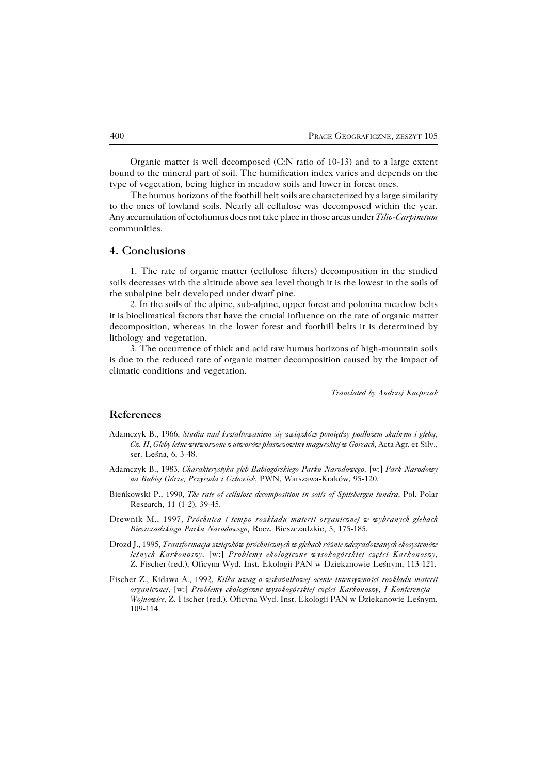Organic matter is well decomposed (C:N ratio of 10−13) and to a large extent bound to the mineral part of soil. The humification index varies and depends on the type of vegetation, being higher in meadow soils and lower in forest ones.

The humus horizons of the foothill belt soils are characterized by a large similarity to the ones of lowland soils. Nearly all cellulose was decomposed within the year. Any accumulation of ectohumus does not take place in those areas under *Tilio−Carpinetum* communities.

## **4. Conclusions**

1. The rate of organic matter (cellulose filters) decomposition in the studied soils decreases with the altitude above sea level though it is the lowest in the soils of the subalpine belt developed under dwarf pine.

2. In the soils of the alpine, sub−alpine, upper forest and polonina meadow belts it is bioclimatical factors that have the crucial influence on the rate of organic matter decomposition, whereas in the lower forest and foothill belts it is determined by lithology and vegetation.

3. The occurrence of thick and acid raw humus horizons of high−mountain soils is due to the reduced rate of organic matter decomposition caused by the impact of climatic conditions and vegetation.

*Translated by Andrzej Kacprzak*

#### **References**

- Adamczyk B., 1966, *Studia nad kształtowaniem się związków pomiędzy podłożem skalnym i glebą, Cz.II, Gleby leśne wytworzone z utworów płaszczowiny magurskiej w Gorcach,* Acta Agr. etSilv., ser. Leśna, 6, 3−48.
- Adamczyk B., 1983, *Charakterystyka gleb Babiogórskiego Parku Narodowego,* [w:] *Park Narodowy na Babiej Górze, Przyroda i Człowiek,* PWN, Warszawa−Kraków, 95−120.
- Bieńkowski P., 1990, *The rate of cellulose decomposition in soils of Spitsbergen tundra,* Pol. Polar Research, 11 (1−2), 39−45.
- Drewnik M., 1997, *Próchnica i tempo rozkładu materii organicznej w wybranych glebach Bieszczadzkiego Parku Narodowego,* Rocz. Bieszczadzkie, 5, 175−185.
- Drozd J., 1995, *Transformacja związków próchnicznych w glebach różnie zdegradowanych ekosystemów leśnych Karkonoszy,* [w:] *Problemy ekologiczne wysokogórskiej części Karkonoszy,* Z.Fischer(red.), Oficyna Wyd. Inst. Ekologii PAN w Dziekanowie Leśnym, 113−121.
- Fischer Z., Kidawa A., 1992, *Kilka uwag o wskaźnikowej ocenie intensywności rozkładu materii organicznej,* [w:] *Problemy ekologiczne wysokogórskiej części Karkonoszy, I Konferencja – Wojnowice,* Z. Fischer (red.), Oficyna Wyd. Inst. Ekologii PAN w Dziekanowie Leśnym, 109−114.